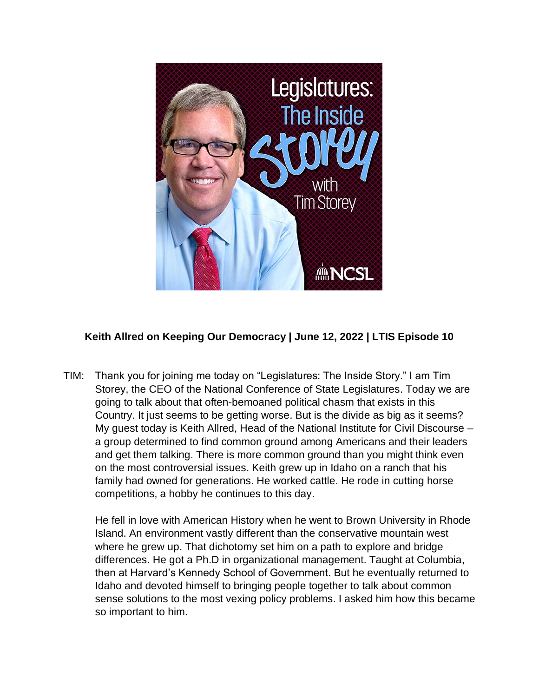

## **Keith Allred on Keeping Our Democracy | June 12, 2022 | LTIS Episode 10**

TIM: Thank you for joining me today on "Legislatures: The Inside Story." I am Tim Storey, the CEO of the National Conference of State Legislatures. Today we are going to talk about that often-bemoaned political chasm that exists in this Country. It just seems to be getting worse. But is the divide as big as it seems? My guest today is Keith Allred, Head of the National Institute for Civil Discourse – a group determined to find common ground among Americans and their leaders and get them talking. There is more common ground than you might think even on the most controversial issues. Keith grew up in Idaho on a ranch that his family had owned for generations. He worked cattle. He rode in cutting horse competitions, a hobby he continues to this day.

He fell in love with American History when he went to Brown University in Rhode Island. An environment vastly different than the conservative mountain west where he grew up. That dichotomy set him on a path to explore and bridge differences. He got a Ph.D in organizational management. Taught at Columbia, then at Harvard's Kennedy School of Government. But he eventually returned to Idaho and devoted himself to bringing people together to talk about common sense solutions to the most vexing policy problems. I asked him how this became so important to him.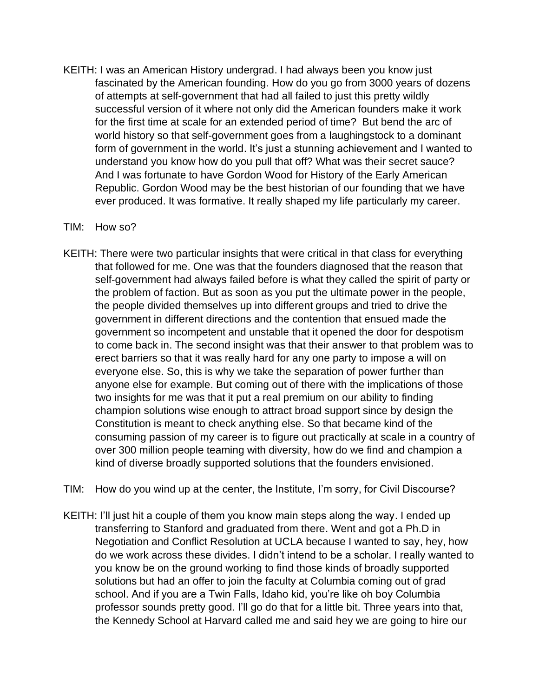KEITH: I was an American History undergrad. I had always been you know just fascinated by the American founding. How do you go from 3000 years of dozens of attempts at self-government that had all failed to just this pretty wildly successful version of it where not only did the American founders make it work for the first time at scale for an extended period of time? But bend the arc of world history so that self-government goes from a laughingstock to a dominant form of government in the world. It's just a stunning achievement and I wanted to understand you know how do you pull that off? What was their secret sauce? And I was fortunate to have Gordon Wood for History of the Early American Republic. Gordon Wood may be the best historian of our founding that we have ever produced. It was formative. It really shaped my life particularly my career.

## TIM: How so?

KEITH: There were two particular insights that were critical in that class for everything that followed for me. One was that the founders diagnosed that the reason that self-government had always failed before is what they called the spirit of party or the problem of faction. But as soon as you put the ultimate power in the people, the people divided themselves up into different groups and tried to drive the government in different directions and the contention that ensued made the government so incompetent and unstable that it opened the door for despotism to come back in. The second insight was that their answer to that problem was to erect barriers so that it was really hard for any one party to impose a will on everyone else. So, this is why we take the separation of power further than anyone else for example. But coming out of there with the implications of those two insights for me was that it put a real premium on our ability to finding champion solutions wise enough to attract broad support since by design the Constitution is meant to check anything else. So that became kind of the consuming passion of my career is to figure out practically at scale in a country of over 300 million people teaming with diversity, how do we find and champion a kind of diverse broadly supported solutions that the founders envisioned.

TIM: How do you wind up at the center, the Institute, I'm sorry, for Civil Discourse?

KEITH: I'll just hit a couple of them you know main steps along the way. I ended up transferring to Stanford and graduated from there. Went and got a Ph.D in Negotiation and Conflict Resolution at UCLA because I wanted to say, hey, how do we work across these divides. I didn't intend to be a scholar. I really wanted to you know be on the ground working to find those kinds of broadly supported solutions but had an offer to join the faculty at Columbia coming out of grad school. And if you are a Twin Falls, Idaho kid, you're like oh boy Columbia professor sounds pretty good. I'll go do that for a little bit. Three years into that, the Kennedy School at Harvard called me and said hey we are going to hire our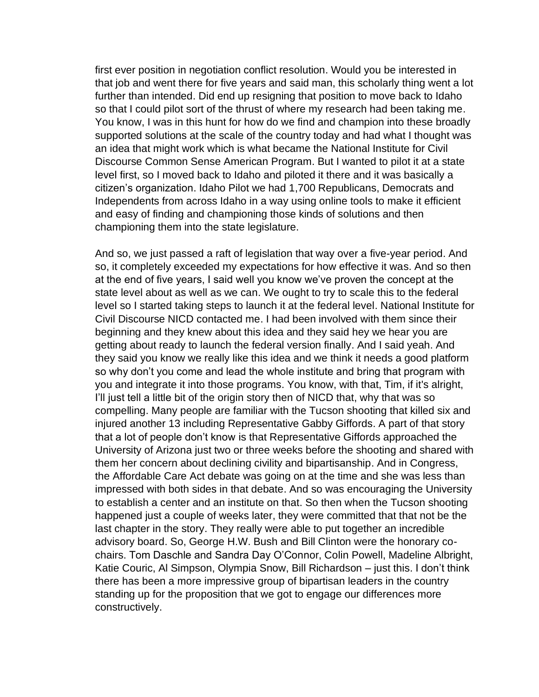first ever position in negotiation conflict resolution. Would you be interested in that job and went there for five years and said man, this scholarly thing went a lot further than intended. Did end up resigning that position to move back to Idaho so that I could pilot sort of the thrust of where my research had been taking me. You know, I was in this hunt for how do we find and champion into these broadly supported solutions at the scale of the country today and had what I thought was an idea that might work which is what became the National Institute for Civil Discourse Common Sense American Program. But I wanted to pilot it at a state level first, so I moved back to Idaho and piloted it there and it was basically a citizen's organization. Idaho Pilot we had 1,700 Republicans, Democrats and Independents from across Idaho in a way using online tools to make it efficient and easy of finding and championing those kinds of solutions and then championing them into the state legislature.

And so, we just passed a raft of legislation that way over a five-year period. And so, it completely exceeded my expectations for how effective it was. And so then at the end of five years, I said well you know we've proven the concept at the state level about as well as we can. We ought to try to scale this to the federal level so I started taking steps to launch it at the federal level. National Institute for Civil Discourse NICD contacted me. I had been involved with them since their beginning and they knew about this idea and they said hey we hear you are getting about ready to launch the federal version finally. And I said yeah. And they said you know we really like this idea and we think it needs a good platform so why don't you come and lead the whole institute and bring that program with you and integrate it into those programs. You know, with that, Tim, if it's alright, I'll just tell a little bit of the origin story then of NICD that, why that was so compelling. Many people are familiar with the Tucson shooting that killed six and injured another 13 including Representative Gabby Giffords. A part of that story that a lot of people don't know is that Representative Giffords approached the University of Arizona just two or three weeks before the shooting and shared with them her concern about declining civility and bipartisanship. And in Congress, the Affordable Care Act debate was going on at the time and she was less than impressed with both sides in that debate. And so was encouraging the University to establish a center and an institute on that. So then when the Tucson shooting happened just a couple of weeks later, they were committed that that not be the last chapter in the story. They really were able to put together an incredible advisory board. So, George H.W. Bush and Bill Clinton were the honorary cochairs. Tom Daschle and Sandra Day O'Connor, Colin Powell, Madeline Albright, Katie Couric, Al Simpson, Olympia Snow, Bill Richardson – just this. I don't think there has been a more impressive group of bipartisan leaders in the country standing up for the proposition that we got to engage our differences more constructively.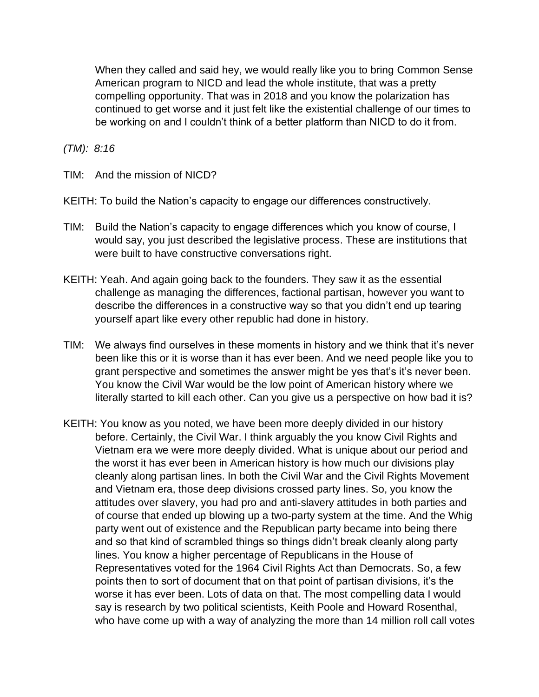When they called and said hey, we would really like you to bring Common Sense American program to NICD and lead the whole institute, that was a pretty compelling opportunity. That was in 2018 and you know the polarization has continued to get worse and it just felt like the existential challenge of our times to be working on and I couldn't think of a better platform than NICD to do it from.

*(TM): 8:16*

TIM: And the mission of NICD?

KEITH: To build the Nation's capacity to engage our differences constructively.

- TIM: Build the Nation's capacity to engage differences which you know of course, I would say, you just described the legislative process. These are institutions that were built to have constructive conversations right.
- KEITH: Yeah. And again going back to the founders. They saw it as the essential challenge as managing the differences, factional partisan, however you want to describe the differences in a constructive way so that you didn't end up tearing yourself apart like every other republic had done in history.
- TIM: We always find ourselves in these moments in history and we think that it's never been like this or it is worse than it has ever been. And we need people like you to grant perspective and sometimes the answer might be yes that's it's never been. You know the Civil War would be the low point of American history where we literally started to kill each other. Can you give us a perspective on how bad it is?
- KEITH: You know as you noted, we have been more deeply divided in our history before. Certainly, the Civil War. I think arguably the you know Civil Rights and Vietnam era we were more deeply divided. What is unique about our period and the worst it has ever been in American history is how much our divisions play cleanly along partisan lines. In both the Civil War and the Civil Rights Movement and Vietnam era, those deep divisions crossed party lines. So, you know the attitudes over slavery, you had pro and anti-slavery attitudes in both parties and of course that ended up blowing up a two-party system at the time. And the Whig party went out of existence and the Republican party became into being there and so that kind of scrambled things so things didn't break cleanly along party lines. You know a higher percentage of Republicans in the House of Representatives voted for the 1964 Civil Rights Act than Democrats. So, a few points then to sort of document that on that point of partisan divisions, it's the worse it has ever been. Lots of data on that. The most compelling data I would say is research by two political scientists, Keith Poole and Howard Rosenthal, who have come up with a way of analyzing the more than 14 million roll call votes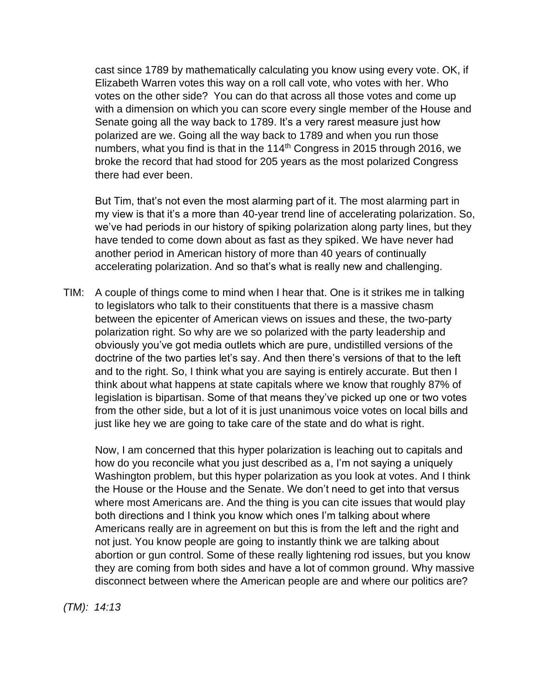cast since 1789 by mathematically calculating you know using every vote. OK, if Elizabeth Warren votes this way on a roll call vote, who votes with her. Who votes on the other side? You can do that across all those votes and come up with a dimension on which you can score every single member of the House and Senate going all the way back to 1789. It's a very rarest measure just how polarized are we. Going all the way back to 1789 and when you run those numbers, what you find is that in the  $114<sup>th</sup>$  Congress in 2015 through 2016, we broke the record that had stood for 205 years as the most polarized Congress there had ever been.

But Tim, that's not even the most alarming part of it. The most alarming part in my view is that it's a more than 40-year trend line of accelerating polarization. So, we've had periods in our history of spiking polarization along party lines, but they have tended to come down about as fast as they spiked. We have never had another period in American history of more than 40 years of continually accelerating polarization. And so that's what is really new and challenging.

TIM: A couple of things come to mind when I hear that. One is it strikes me in talking to legislators who talk to their constituents that there is a massive chasm between the epicenter of American views on issues and these, the two-party polarization right. So why are we so polarized with the party leadership and obviously you've got media outlets which are pure, undistilled versions of the doctrine of the two parties let's say. And then there's versions of that to the left and to the right. So, I think what you are saying is entirely accurate. But then I think about what happens at state capitals where we know that roughly 87% of legislation is bipartisan. Some of that means they've picked up one or two votes from the other side, but a lot of it is just unanimous voice votes on local bills and just like hey we are going to take care of the state and do what is right.

Now, I am concerned that this hyper polarization is leaching out to capitals and how do you reconcile what you just described as a, I'm not saying a uniquely Washington problem, but this hyper polarization as you look at votes. And I think the House or the House and the Senate. We don't need to get into that versus where most Americans are. And the thing is you can cite issues that would play both directions and I think you know which ones I'm talking about where Americans really are in agreement on but this is from the left and the right and not just. You know people are going to instantly think we are talking about abortion or gun control. Some of these really lightening rod issues, but you know they are coming from both sides and have a lot of common ground. Why massive disconnect between where the American people are and where our politics are?

*(TM): 14:13*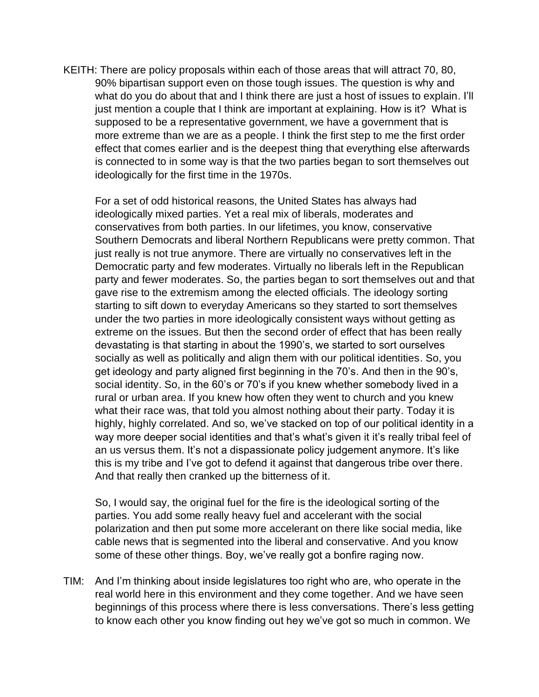KEITH: There are policy proposals within each of those areas that will attract 70, 80, 90% bipartisan support even on those tough issues. The question is why and what do you do about that and I think there are just a host of issues to explain. I'll just mention a couple that I think are important at explaining. How is it? What is supposed to be a representative government, we have a government that is more extreme than we are as a people. I think the first step to me the first order effect that comes earlier and is the deepest thing that everything else afterwards is connected to in some way is that the two parties began to sort themselves out ideologically for the first time in the 1970s.

For a set of odd historical reasons, the United States has always had ideologically mixed parties. Yet a real mix of liberals, moderates and conservatives from both parties. In our lifetimes, you know, conservative Southern Democrats and liberal Northern Republicans were pretty common. That just really is not true anymore. There are virtually no conservatives left in the Democratic party and few moderates. Virtually no liberals left in the Republican party and fewer moderates. So, the parties began to sort themselves out and that gave rise to the extremism among the elected officials. The ideology sorting starting to sift down to everyday Americans so they started to sort themselves under the two parties in more ideologically consistent ways without getting as extreme on the issues. But then the second order of effect that has been really devastating is that starting in about the 1990's, we started to sort ourselves socially as well as politically and align them with our political identities. So, you get ideology and party aligned first beginning in the 70's. And then in the 90's, social identity. So, in the 60's or 70's if you knew whether somebody lived in a rural or urban area. If you knew how often they went to church and you knew what their race was, that told you almost nothing about their party. Today it is highly, highly correlated. And so, we've stacked on top of our political identity in a way more deeper social identities and that's what's given it it's really tribal feel of an us versus them. It's not a dispassionate policy judgement anymore. It's like this is my tribe and I've got to defend it against that dangerous tribe over there. And that really then cranked up the bitterness of it.

So, I would say, the original fuel for the fire is the ideological sorting of the parties. You add some really heavy fuel and accelerant with the social polarization and then put some more accelerant on there like social media, like cable news that is segmented into the liberal and conservative. And you know some of these other things. Boy, we've really got a bonfire raging now.

TIM: And I'm thinking about inside legislatures too right who are, who operate in the real world here in this environment and they come together. And we have seen beginnings of this process where there is less conversations. There's less getting to know each other you know finding out hey we've got so much in common. We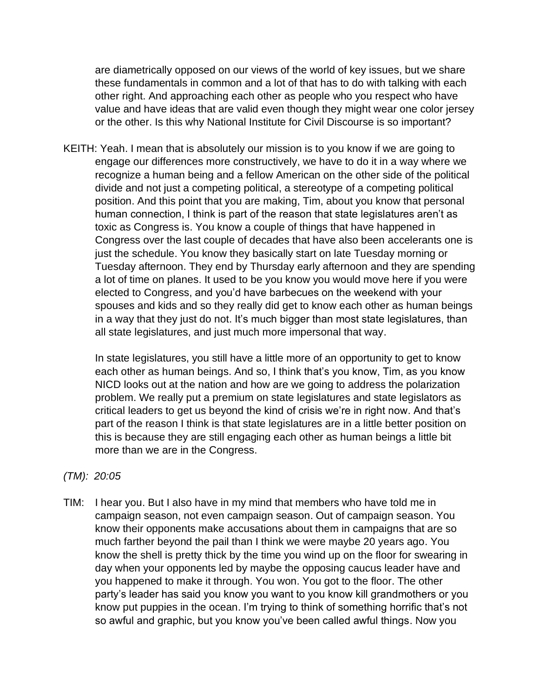are diametrically opposed on our views of the world of key issues, but we share these fundamentals in common and a lot of that has to do with talking with each other right. And approaching each other as people who you respect who have value and have ideas that are valid even though they might wear one color jersey or the other. Is this why National Institute for Civil Discourse is so important?

KEITH: Yeah. I mean that is absolutely our mission is to you know if we are going to engage our differences more constructively, we have to do it in a way where we recognize a human being and a fellow American on the other side of the political divide and not just a competing political, a stereotype of a competing political position. And this point that you are making, Tim, about you know that personal human connection, I think is part of the reason that state legislatures aren't as toxic as Congress is. You know a couple of things that have happened in Congress over the last couple of decades that have also been accelerants one is just the schedule. You know they basically start on late Tuesday morning or Tuesday afternoon. They end by Thursday early afternoon and they are spending a lot of time on planes. It used to be you know you would move here if you were elected to Congress, and you'd have barbecues on the weekend with your spouses and kids and so they really did get to know each other as human beings in a way that they just do not. It's much bigger than most state legislatures, than all state legislatures, and just much more impersonal that way.

In state legislatures, you still have a little more of an opportunity to get to know each other as human beings. And so, I think that's you know, Tim, as you know NICD looks out at the nation and how are we going to address the polarization problem. We really put a premium on state legislatures and state legislators as critical leaders to get us beyond the kind of crisis we're in right now. And that's part of the reason I think is that state legislatures are in a little better position on this is because they are still engaging each other as human beings a little bit more than we are in the Congress.

## *(TM): 20:05*

TIM: I hear you. But I also have in my mind that members who have told me in campaign season, not even campaign season. Out of campaign season. You know their opponents make accusations about them in campaigns that are so much farther beyond the pail than I think we were maybe 20 years ago. You know the shell is pretty thick by the time you wind up on the floor for swearing in day when your opponents led by maybe the opposing caucus leader have and you happened to make it through. You won. You got to the floor. The other party's leader has said you know you want to you know kill grandmothers or you know put puppies in the ocean. I'm trying to think of something horrific that's not so awful and graphic, but you know you've been called awful things. Now you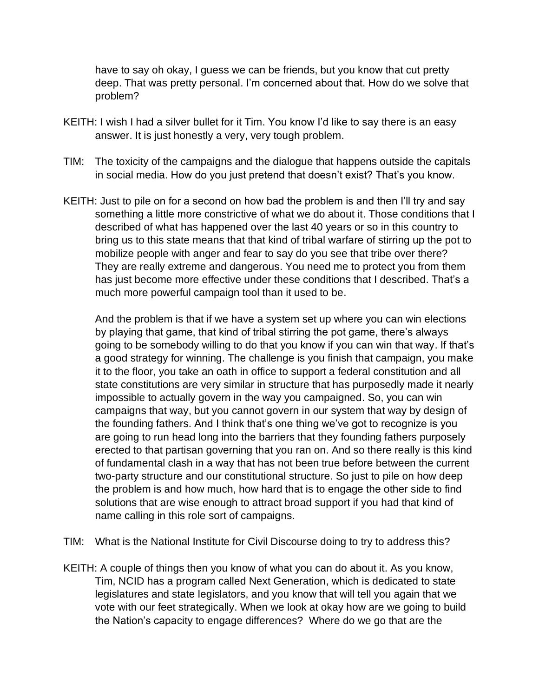have to say oh okay, I guess we can be friends, but you know that cut pretty deep. That was pretty personal. I'm concerned about that. How do we solve that problem?

- KEITH: I wish I had a silver bullet for it Tim. You know I'd like to say there is an easy answer. It is just honestly a very, very tough problem.
- TIM: The toxicity of the campaigns and the dialogue that happens outside the capitals in social media. How do you just pretend that doesn't exist? That's you know.
- KEITH: Just to pile on for a second on how bad the problem is and then I'll try and say something a little more constrictive of what we do about it. Those conditions that I described of what has happened over the last 40 years or so in this country to bring us to this state means that that kind of tribal warfare of stirring up the pot to mobilize people with anger and fear to say do you see that tribe over there? They are really extreme and dangerous. You need me to protect you from them has just become more effective under these conditions that I described. That's a much more powerful campaign tool than it used to be.

And the problem is that if we have a system set up where you can win elections by playing that game, that kind of tribal stirring the pot game, there's always going to be somebody willing to do that you know if you can win that way. If that's a good strategy for winning. The challenge is you finish that campaign, you make it to the floor, you take an oath in office to support a federal constitution and all state constitutions are very similar in structure that has purposedly made it nearly impossible to actually govern in the way you campaigned. So, you can win campaigns that way, but you cannot govern in our system that way by design of the founding fathers. And I think that's one thing we've got to recognize is you are going to run head long into the barriers that they founding fathers purposely erected to that partisan governing that you ran on. And so there really is this kind of fundamental clash in a way that has not been true before between the current two-party structure and our constitutional structure. So just to pile on how deep the problem is and how much, how hard that is to engage the other side to find solutions that are wise enough to attract broad support if you had that kind of name calling in this role sort of campaigns.

TIM: What is the National Institute for Civil Discourse doing to try to address this?

KEITH: A couple of things then you know of what you can do about it. As you know, Tim, NCID has a program called Next Generation, which is dedicated to state legislatures and state legislators, and you know that will tell you again that we vote with our feet strategically. When we look at okay how are we going to build the Nation's capacity to engage differences? Where do we go that are the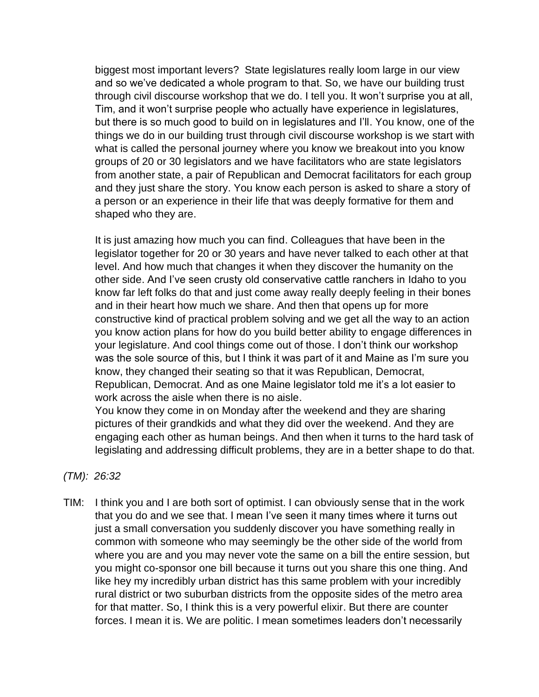biggest most important levers? State legislatures really loom large in our view and so we've dedicated a whole program to that. So, we have our building trust through civil discourse workshop that we do. I tell you. It won't surprise you at all, Tim, and it won't surprise people who actually have experience in legislatures, but there is so much good to build on in legislatures and I'll. You know, one of the things we do in our building trust through civil discourse workshop is we start with what is called the personal journey where you know we breakout into you know groups of 20 or 30 legislators and we have facilitators who are state legislators from another state, a pair of Republican and Democrat facilitators for each group and they just share the story. You know each person is asked to share a story of a person or an experience in their life that was deeply formative for them and shaped who they are.

It is just amazing how much you can find. Colleagues that have been in the legislator together for 20 or 30 years and have never talked to each other at that level. And how much that changes it when they discover the humanity on the other side. And I've seen crusty old conservative cattle ranchers in Idaho to you know far left folks do that and just come away really deeply feeling in their bones and in their heart how much we share. And then that opens up for more constructive kind of practical problem solving and we get all the way to an action you know action plans for how do you build better ability to engage differences in your legislature. And cool things come out of those. I don't think our workshop was the sole source of this, but I think it was part of it and Maine as I'm sure you know, they changed their seating so that it was Republican, Democrat, Republican, Democrat. And as one Maine legislator told me it's a lot easier to work across the aisle when there is no aisle.

You know they come in on Monday after the weekend and they are sharing pictures of their grandkids and what they did over the weekend. And they are engaging each other as human beings. And then when it turns to the hard task of legislating and addressing difficult problems, they are in a better shape to do that.

## *(TM): 26:32*

TIM: I think you and I are both sort of optimist. I can obviously sense that in the work that you do and we see that. I mean I've seen it many times where it turns out just a small conversation you suddenly discover you have something really in common with someone who may seemingly be the other side of the world from where you are and you may never vote the same on a bill the entire session, but you might co-sponsor one bill because it turns out you share this one thing. And like hey my incredibly urban district has this same problem with your incredibly rural district or two suburban districts from the opposite sides of the metro area for that matter. So, I think this is a very powerful elixir. But there are counter forces. I mean it is. We are politic. I mean sometimes leaders don't necessarily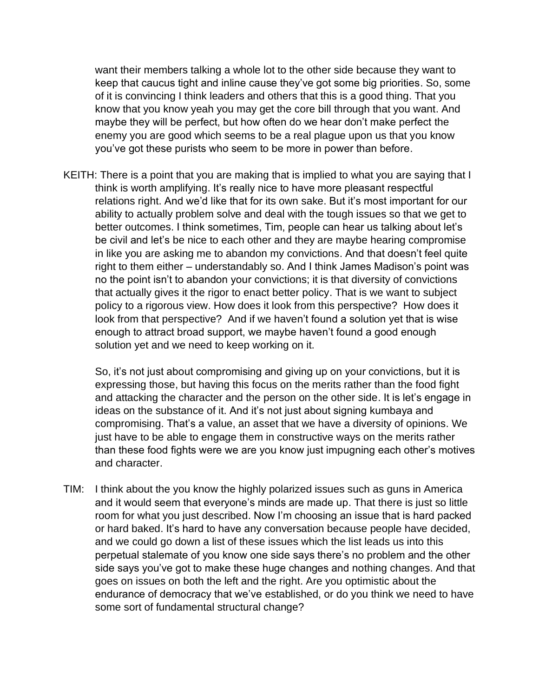want their members talking a whole lot to the other side because they want to keep that caucus tight and inline cause they've got some big priorities. So, some of it is convincing I think leaders and others that this is a good thing. That you know that you know yeah you may get the core bill through that you want. And maybe they will be perfect, but how often do we hear don't make perfect the enemy you are good which seems to be a real plague upon us that you know you've got these purists who seem to be more in power than before.

KEITH: There is a point that you are making that is implied to what you are saying that I think is worth amplifying. It's really nice to have more pleasant respectful relations right. And we'd like that for its own sake. But it's most important for our ability to actually problem solve and deal with the tough issues so that we get to better outcomes. I think sometimes, Tim, people can hear us talking about let's be civil and let's be nice to each other and they are maybe hearing compromise in like you are asking me to abandon my convictions. And that doesn't feel quite right to them either – understandably so. And I think James Madison's point was no the point isn't to abandon your convictions; it is that diversity of convictions that actually gives it the rigor to enact better policy. That is we want to subject policy to a rigorous view. How does it look from this perspective? How does it look from that perspective? And if we haven't found a solution yet that is wise enough to attract broad support, we maybe haven't found a good enough solution yet and we need to keep working on it.

So, it's not just about compromising and giving up on your convictions, but it is expressing those, but having this focus on the merits rather than the food fight and attacking the character and the person on the other side. It is let's engage in ideas on the substance of it. And it's not just about signing kumbaya and compromising. That's a value, an asset that we have a diversity of opinions. We just have to be able to engage them in constructive ways on the merits rather than these food fights were we are you know just impugning each other's motives and character.

TIM: I think about the you know the highly polarized issues such as guns in America and it would seem that everyone's minds are made up. That there is just so little room for what you just described. Now I'm choosing an issue that is hard packed or hard baked. It's hard to have any conversation because people have decided, and we could go down a list of these issues which the list leads us into this perpetual stalemate of you know one side says there's no problem and the other side says you've got to make these huge changes and nothing changes. And that goes on issues on both the left and the right. Are you optimistic about the endurance of democracy that we've established, or do you think we need to have some sort of fundamental structural change?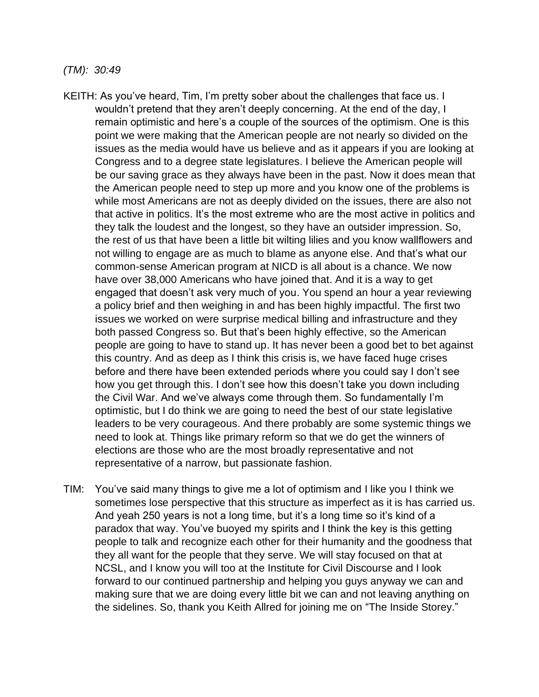*(TM): 30:49*

- KEITH: As you've heard, Tim, I'm pretty sober about the challenges that face us. I wouldn't pretend that they aren't deeply concerning. At the end of the day, I remain optimistic and here's a couple of the sources of the optimism. One is this point we were making that the American people are not nearly so divided on the issues as the media would have us believe and as it appears if you are looking at Congress and to a degree state legislatures. I believe the American people will be our saving grace as they always have been in the past. Now it does mean that the American people need to step up more and you know one of the problems is while most Americans are not as deeply divided on the issues, there are also not that active in politics. It's the most extreme who are the most active in politics and they talk the loudest and the longest, so they have an outsider impression. So, the rest of us that have been a little bit wilting lilies and you know wallflowers and not willing to engage are as much to blame as anyone else. And that's what our common-sense American program at NICD is all about is a chance. We now have over 38,000 Americans who have joined that. And it is a way to get engaged that doesn't ask very much of you. You spend an hour a year reviewing a policy brief and then weighing in and has been highly impactful. The first two issues we worked on were surprise medical billing and infrastructure and they both passed Congress so. But that's been highly effective, so the American people are going to have to stand up. It has never been a good bet to bet against this country. And as deep as I think this crisis is, we have faced huge crises before and there have been extended periods where you could say I don't see how you get through this. I don't see how this doesn't take you down including the Civil War. And we've always come through them. So fundamentally I'm optimistic, but I do think we are going to need the best of our state legislative leaders to be very courageous. And there probably are some systemic things we need to look at. Things like primary reform so that we do get the winners of elections are those who are the most broadly representative and not representative of a narrow, but passionate fashion.
- TIM: You've said many things to give me a lot of optimism and I like you I think we sometimes lose perspective that this structure as imperfect as it is has carried us. And yeah 250 years is not a long time, but it's a long time so it's kind of a paradox that way. You've buoyed my spirits and I think the key is this getting people to talk and recognize each other for their humanity and the goodness that they all want for the people that they serve. We will stay focused on that at NCSL, and I know you will too at the Institute for Civil Discourse and I look forward to our continued partnership and helping you guys anyway we can and making sure that we are doing every little bit we can and not leaving anything on the sidelines. So, thank you Keith Allred for joining me on "The Inside Storey."